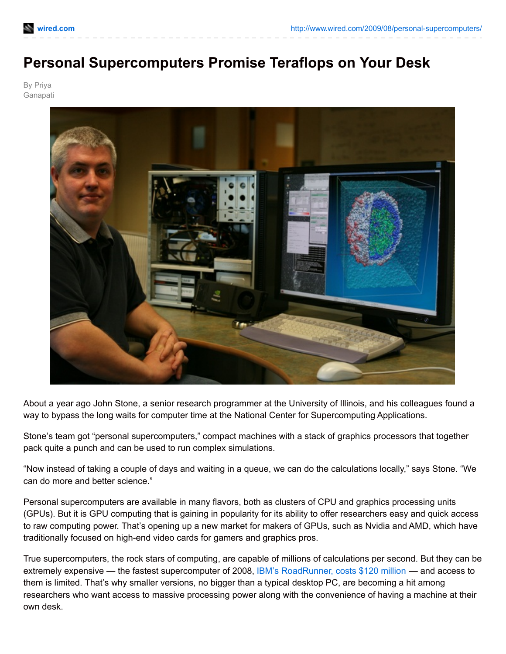## **Personal Supercomputers Promise Teraflops on Your Desk**

By Priya Ganapati



About a year ago John Stone, a senior research programmer at the University of Illinois, and his colleagues found a way to bypass the long waits for computer time at the National Center for Supercomputing Applications.

Stone's team got "personal supercomputers," compact machines with a stack of graphics processors that together pack quite a punch and can be used to run complex simulations.

"Now instead of taking a couple of days and waiting in a queue, we can do the calculations locally," says Stone. "We can do more and better science."

Personal supercomputers are available in many flavors, both as clusters of CPU and graphics processing units (GPUs). But it is GPU computing that is gaining in popularity for its ability to offer researchers easy and quick access to raw computing power. That's opening up a new market for makers of GPUs, such as Nvidia and AMD, which have traditionally focused on high-end video cards for gamers and graphics pros.

True supercomputers, the rock stars of computing, are capable of millions of calculations per second. But they can be extremely expensive — the fastest supercomputer of 2008, IBM's [RoadRunner,](http://www.guardian.co.uk/technology/2008/jun/10/computing.sciencenews) costs \$120 million — and access to them is limited. That's why smaller versions, no bigger than a typical desktop PC, are becoming a hit among researchers who want access to massive processing power along with the convenience of having a machine at their own desk.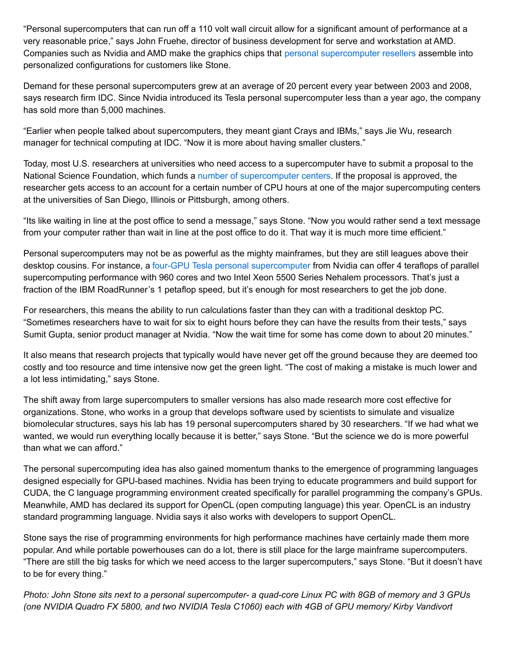"Personal supercomputers that can run off a 110 volt wall circuit allow for a significant amount of performance at a very reasonable price," says John Fruehe, director of business development for serve and workstation at AMD. Companies such as Nvidia and AMD make the graphics chips that personal [supercomputer](http://www.nvidia.com/object/tesla_supercomputer_wtb.html) resellers assemble into personalized configurations for customers like Stone.

Demand for these personal supercomputers grew at an average of 20 percent every year between 2003 and 2008, says research firm IDC. Since Nvidia introduced its Tesla personal supercomputer less than a year ago, the company has sold more than 5,000 machines.

"Earlier when people talked about supercomputers, they meant giant Crays and IBMs," says Jie Wu, research manager for technical computing at IDC. "Now it is more about having smaller clusters."

Today, most U.S. researchers at universities who need access to a supercomputer have to submit a proposal to the National Science Foundation, which funds a number of [supercomputer](http://www.wired.com/wiredscience/2008/03/nsf-head-cluste/) centers. If the proposal is approved, the researcher gets access to an account for a certain number of CPU hours at one of the major supercomputing centers at the universities of San Diego, Illinois or Pittsburgh, among others.

"Its like waiting in line at the post office to send a message," says Stone. "Now you would rather send a text message from your computer rather than wait in line at the post office to do it. That way it is much more time efficient."

Personal supercomputers may not be as powerful as the mighty mainframes, but they are still leagues above their desktop cousins. For instance, a four-GPU Tesla personal [supercomputer](http://www.nvidia.com/object/tesla_supercomputer_wtb.html) from Nvidia can offer 4 teraflops of parallel supercomputing performance with 960 cores and two Intel Xeon 5500 Series Nehalem processors. That's just a fraction of the IBM RoadRunner's 1 petaflop speed, but it's enough for most researchers to get the job done.

For researchers, this means the ability to run calculations faster than they can with a traditional desktop PC. "Sometimes researchers have to wait for six to eight hours before they can have the results from their tests," says Sumit Gupta, senior product manager at Nvidia. "Now the wait time for some has come down to about 20 minutes."

It also means that research projects that typically would have never get off the ground because they are deemed too costly and too resource and time intensive now get the green light. "The cost of making a mistake is much lower and a lot less intimidating," says Stone.

The shift away from large supercomputers to smaller versions has also made research more cost effective for organizations. Stone, who works in a group that develops software used by scientists to simulate and visualize biomolecular structures, says his lab has 19 personal supercomputers shared by 30 researchers. "If we had what we wanted, we would run everything locally because it is better," says Stone. "But the science we do is more powerful than what we can afford."

The personal supercomputing idea has also gained momentum thanks to the emergence of programming languages designed especially for GPU-based machines. Nvidia has been trying to educate programmers and build support for CUDA, the C language programming environment created specifically for parallel programming the company's GPUs. Meanwhile, AMD has declared its support for OpenCL (open computing language) this year. OpenCL is an industry standard programming language. Nvidia says it also works with developers to support OpenCL.

Stone says the rise of programming environments for high performance machines have certainly made them more popular. And while portable powerhouses can do a lot, there is still place for the large mainframe supercomputers. "There are still the big tasks for which we need access to the larger supercomputers," says Stone. "But it doesn't have to be for every thing."

Photo: John Stone sits next to a personal supercomputer- a quad-core Linux PC with 8GB of memory and 3 GPUs (one NVIDIA Quadro FX 5800, and two NVIDIA Tesla C1060) each with 4GB of GPU memory/ Kirby Vandivort